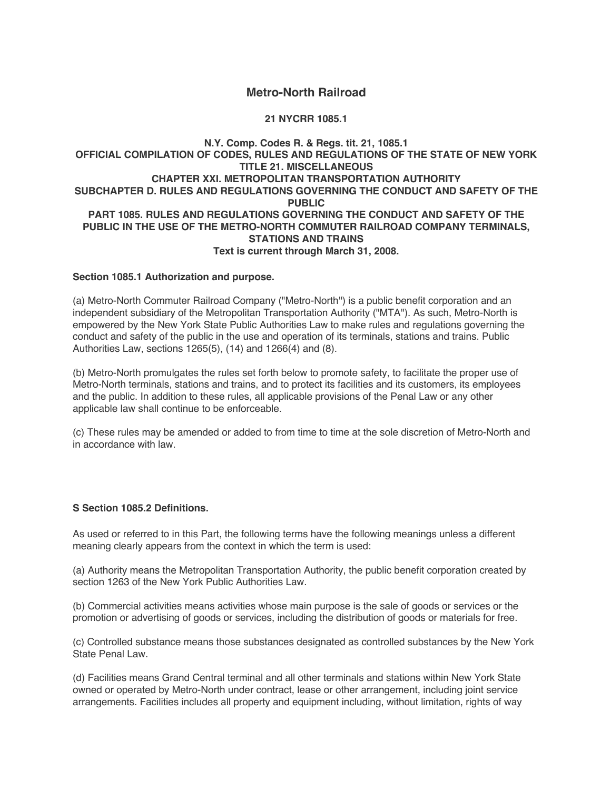# **Metro-North Railroad**

**21 NYCRR 1085.1**

# **N.Y. Comp. Codes R. & Regs. tit. 21, 1085.1 OFFICIAL COMPILATION OF CODES, RULES AND REGULATIONS OF THE STATE OF NEW YORK TITLE 21. MISCELLANEOUS CHAPTER XXI. METROPOLITAN TRANSPORTATION AUTHORITY SUBCHAPTER D. RULES AND REGULATIONS GOVERNING THE CONDUCT AND SAFETY OF THE PUBLIC PART 1085. RULES AND REGULATIONS GOVERNING THE CONDUCT AND SAFETY OF THE PUBLIC IN THE USE OF THE METRO-NORTH COMMUTER RAILROAD COMPANY TERMINALS, STATIONS AND TRAINS Text is current through March 31, 2008.**

### **Section 1085.1 Authorization and purpose.**

(a) Metro-North Commuter Railroad Company ("Metro-North'') is a public benefit corporation and an independent subsidiary of the Metropolitan Transportation Authority ("MTA''). As such, Metro-North is empowered by the New York State Public Authorities Law to make rules and regulations governing the conduct and safety of the public in the use and operation of its terminals, stations and trains. Public Authorities Law, sections 1265(5), (14) and 1266(4) and (8).

(b) Metro-North promulgates the rules set forth below to promote safety, to facilitate the proper use of Metro-North terminals, stations and trains, and to protect its facilities and its customers, its employees and the public. In addition to these rules, all applicable provisions of the Penal Law or any other applicable law shall continue to be enforceable.

(c) These rules may be amended or added to from time to time at the sole discretion of Metro-North and in accordance with law.

# **S Section 1085.2 Definitions.**

As used or referred to in this Part, the following terms have the following meanings unless a different meaning clearly appears from the context in which the term is used:

(a) Authority means the Metropolitan Transportation Authority, the public benefit corporation created by section 1263 of the New York Public Authorities Law.

(b) Commercial activities means activities whose main purpose is the sale of goods or services or the promotion or advertising of goods or services, including the distribution of goods or materials for free.

(c) Controlled substance means those substances designated as controlled substances by the New York State Penal Law.

(d) Facilities means Grand Central terminal and all other terminals and stations within New York State owned or operated by Metro-North under contract, lease or other arrangement, including joint service arrangements. Facilities includes all property and equipment including, without limitation, rights of way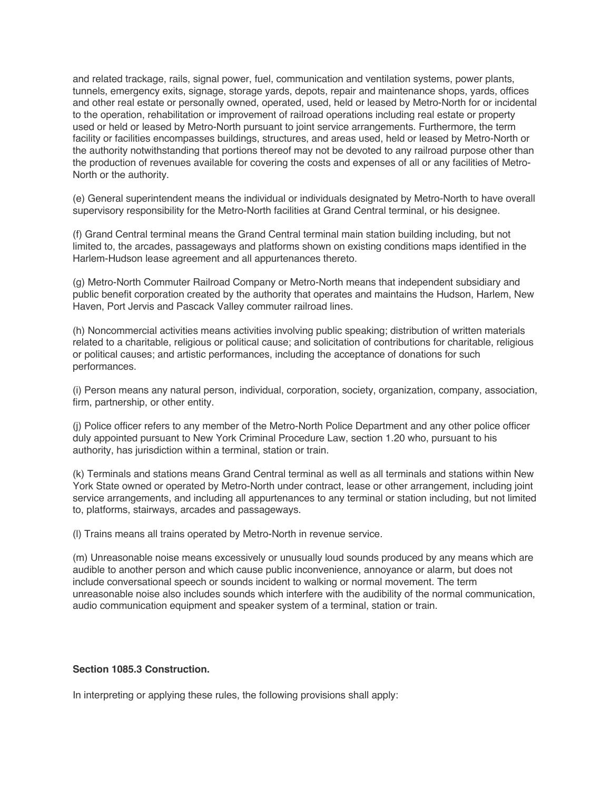and related trackage, rails, signal power, fuel, communication and ventilation systems, power plants, tunnels, emergency exits, signage, storage yards, depots, repair and maintenance shops, yards, offices and other real estate or personally owned, operated, used, held or leased by Metro-North for or incidental to the operation, rehabilitation or improvement of railroad operations including real estate or property used or held or leased by Metro-North pursuant to joint service arrangements. Furthermore, the term facility or facilities encompasses buildings, structures, and areas used, held or leased by Metro-North or the authority notwithstanding that portions thereof may not be devoted to any railroad purpose other than the production of revenues available for covering the costs and expenses of all or any facilities of Metro-North or the authority.

(e) General superintendent means the individual or individuals designated by Metro-North to have overall supervisory responsibility for the Metro-North facilities at Grand Central terminal, or his designee.

(f) Grand Central terminal means the Grand Central terminal main station building including, but not limited to, the arcades, passageways and platforms shown on existing conditions maps identified in the Harlem-Hudson lease agreement and all appurtenances thereto.

(g) Metro-North Commuter Railroad Company or Metro-North means that independent subsidiary and public benefit corporation created by the authority that operates and maintains the Hudson, Harlem, New Haven, Port Jervis and Pascack Valley commuter railroad lines.

(h) Noncommercial activities means activities involving public speaking; distribution of written materials related to a charitable, religious or political cause; and solicitation of contributions for charitable, religious or political causes; and artistic performances, including the acceptance of donations for such performances.

(i) Person means any natural person, individual, corporation, society, organization, company, association, firm, partnership, or other entity.

(j) Police officer refers to any member of the Metro-North Police Department and any other police officer duly appointed pursuant to New York Criminal Procedure Law, section 1.20 who, pursuant to his authority, has jurisdiction within a terminal, station or train.

(k) Terminals and stations means Grand Central terminal as well as all terminals and stations within New York State owned or operated by Metro-North under contract, lease or other arrangement, including joint service arrangements, and including all appurtenances to any terminal or station including, but not limited to, platforms, stairways, arcades and passageways.

(l) Trains means all trains operated by Metro-North in revenue service.

(m) Unreasonable noise means excessively or unusually loud sounds produced by any means which are audible to another person and which cause public inconvenience, annoyance or alarm, but does not include conversational speech or sounds incident to walking or normal movement. The term unreasonable noise also includes sounds which interfere with the audibility of the normal communication, audio communication equipment and speaker system of a terminal, station or train.

# **Section 1085.3 Construction.**

In interpreting or applying these rules, the following provisions shall apply: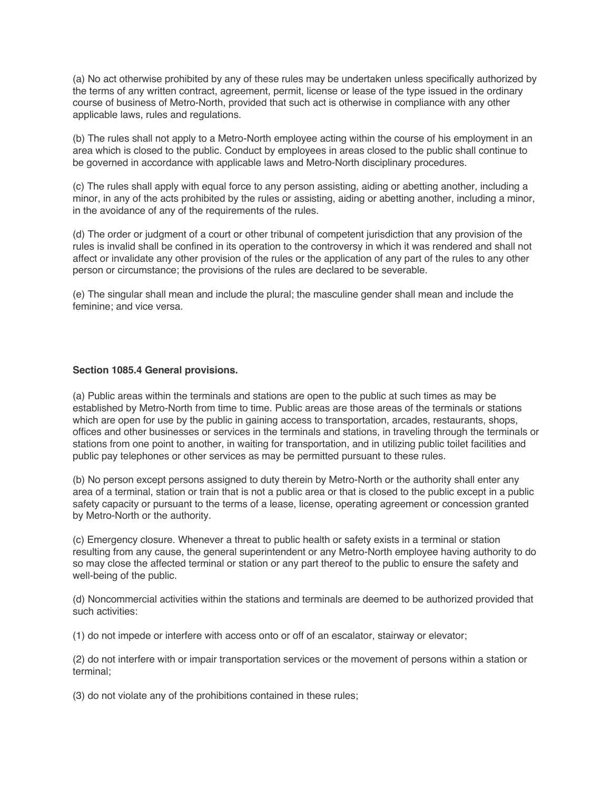(a) No act otherwise prohibited by any of these rules may be undertaken unless specifically authorized by the terms of any written contract, agreement, permit, license or lease of the type issued in the ordinary course of business of Metro-North, provided that such act is otherwise in compliance with any other applicable laws, rules and regulations.

(b) The rules shall not apply to a Metro-North employee acting within the course of his employment in an area which is closed to the public. Conduct by employees in areas closed to the public shall continue to be governed in accordance with applicable laws and Metro-North disciplinary procedures.

(c) The rules shall apply with equal force to any person assisting, aiding or abetting another, including a minor, in any of the acts prohibited by the rules or assisting, aiding or abetting another, including a minor, in the avoidance of any of the requirements of the rules.

(d) The order or judgment of a court or other tribunal of competent jurisdiction that any provision of the rules is invalid shall be confined in its operation to the controversy in which it was rendered and shall not affect or invalidate any other provision of the rules or the application of any part of the rules to any other person or circumstance; the provisions of the rules are declared to be severable.

(e) The singular shall mean and include the plural; the masculine gender shall mean and include the feminine; and vice versa.

#### **Section 1085.4 General provisions.**

(a) Public areas within the terminals and stations are open to the public at such times as may be established by Metro-North from time to time. Public areas are those areas of the terminals or stations which are open for use by the public in gaining access to transportation, arcades, restaurants, shops, offices and other businesses or services in the terminals and stations, in traveling through the terminals or stations from one point to another, in waiting for transportation, and in utilizing public toilet facilities and public pay telephones or other services as may be permitted pursuant to these rules.

(b) No person except persons assigned to duty therein by Metro-North or the authority shall enter any area of a terminal, station or train that is not a public area or that is closed to the public except in a public safety capacity or pursuant to the terms of a lease, license, operating agreement or concession granted by Metro-North or the authority.

(c) Emergency closure. Whenever a threat to public health or safety exists in a terminal or station resulting from any cause, the general superintendent or any Metro-North employee having authority to do so may close the affected terminal or station or any part thereof to the public to ensure the safety and well-being of the public.

(d) Noncommercial activities within the stations and terminals are deemed to be authorized provided that such activities:

(1) do not impede or interfere with access onto or off of an escalator, stairway or elevator;

(2) do not interfere with or impair transportation services or the movement of persons within a station or terminal;

(3) do not violate any of the prohibitions contained in these rules;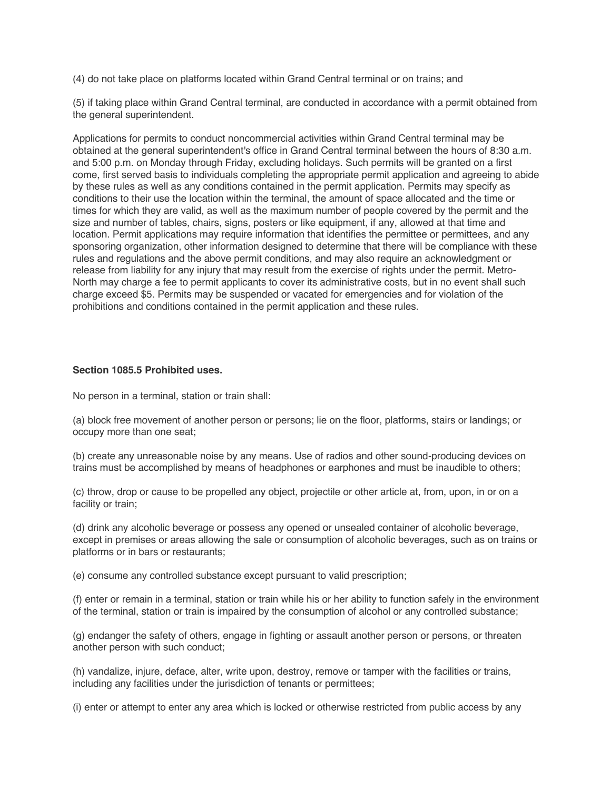(4) do not take place on platforms located within Grand Central terminal or on trains; and

(5) if taking place within Grand Central terminal, are conducted in accordance with a permit obtained from the general superintendent.

Applications for permits to conduct noncommercial activities within Grand Central terminal may be obtained at the general superintendent's office in Grand Central terminal between the hours of 8:30 a.m. and 5:00 p.m. on Monday through Friday, excluding holidays. Such permits will be granted on a first come, first served basis to individuals completing the appropriate permit application and agreeing to abide by these rules as well as any conditions contained in the permit application. Permits may specify as conditions to their use the location within the terminal, the amount of space allocated and the time or times for which they are valid, as well as the maximum number of people covered by the permit and the size and number of tables, chairs, signs, posters or like equipment, if any, allowed at that time and location. Permit applications may require information that identifies the permittee or permittees, and any sponsoring organization, other information designed to determine that there will be compliance with these rules and regulations and the above permit conditions, and may also require an acknowledgment or release from liability for any injury that may result from the exercise of rights under the permit. Metro-North may charge a fee to permit applicants to cover its administrative costs, but in no event shall such charge exceed \$5. Permits may be suspended or vacated for emergencies and for violation of the prohibitions and conditions contained in the permit application and these rules.

### **Section 1085.5 Prohibited uses.**

No person in a terminal, station or train shall:

(a) block free movement of another person or persons; lie on the floor, platforms, stairs or landings; or occupy more than one seat;

(b) create any unreasonable noise by any means. Use of radios and other sound-producing devices on trains must be accomplished by means of headphones or earphones and must be inaudible to others;

(c) throw, drop or cause to be propelled any object, projectile or other article at, from, upon, in or on a facility or train;

(d) drink any alcoholic beverage or possess any opened or unsealed container of alcoholic beverage, except in premises or areas allowing the sale or consumption of alcoholic beverages, such as on trains or platforms or in bars or restaurants;

(e) consume any controlled substance except pursuant to valid prescription;

(f) enter or remain in a terminal, station or train while his or her ability to function safely in the environment of the terminal, station or train is impaired by the consumption of alcohol or any controlled substance;

(g) endanger the safety of others, engage in fighting or assault another person or persons, or threaten another person with such conduct;

(h) vandalize, injure, deface, alter, write upon, destroy, remove or tamper with the facilities or trains, including any facilities under the jurisdiction of tenants or permittees;

(i) enter or attempt to enter any area which is locked or otherwise restricted from public access by any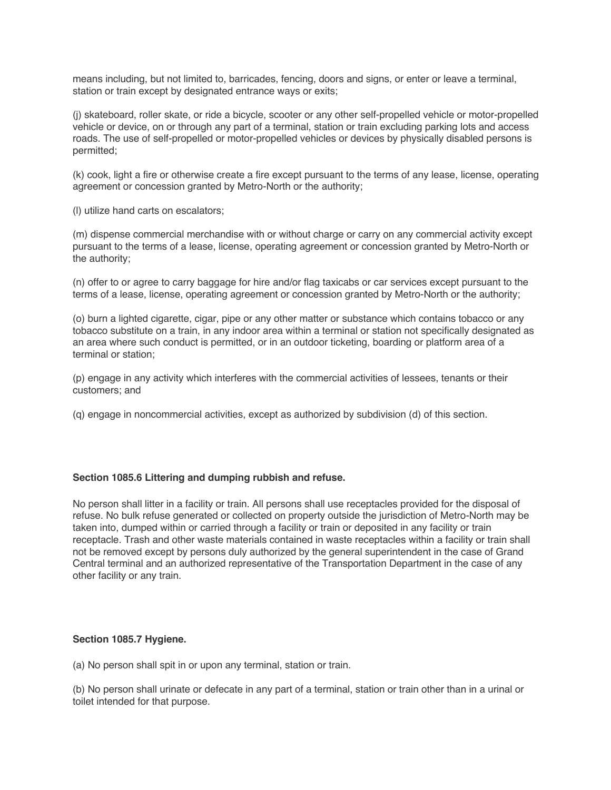means including, but not limited to, barricades, fencing, doors and signs, or enter or leave a terminal, station or train except by designated entrance ways or exits;

(j) skateboard, roller skate, or ride a bicycle, scooter or any other self-propelled vehicle or motor-propelled vehicle or device, on or through any part of a terminal, station or train excluding parking lots and access roads. The use of self-propelled or motor-propelled vehicles or devices by physically disabled persons is permitted;

(k) cook, light a fire or otherwise create a fire except pursuant to the terms of any lease, license, operating agreement or concession granted by Metro-North or the authority;

(l) utilize hand carts on escalators;

(m) dispense commercial merchandise with or without charge or carry on any commercial activity except pursuant to the terms of a lease, license, operating agreement or concession granted by Metro-North or the authority;

(n) offer to or agree to carry baggage for hire and/or flag taxicabs or car services except pursuant to the terms of a lease, license, operating agreement or concession granted by Metro-North or the authority;

(o) burn a lighted cigarette, cigar, pipe or any other matter or substance which contains tobacco or any tobacco substitute on a train, in any indoor area within a terminal or station not specifically designated as an area where such conduct is permitted, or in an outdoor ticketing, boarding or platform area of a terminal or station;

(p) engage in any activity which interferes with the commercial activities of lessees, tenants or their customers; and

(q) engage in noncommercial activities, except as authorized by subdivision (d) of this section.

### **Section 1085.6 Littering and dumping rubbish and refuse.**

No person shall litter in a facility or train. All persons shall use receptacles provided for the disposal of refuse. No bulk refuse generated or collected on property outside the jurisdiction of Metro-North may be taken into, dumped within or carried through a facility or train or deposited in any facility or train receptacle. Trash and other waste materials contained in waste receptacles within a facility or train shall not be removed except by persons duly authorized by the general superintendent in the case of Grand Central terminal and an authorized representative of the Transportation Department in the case of any other facility or any train.

### **Section 1085.7 Hygiene.**

(a) No person shall spit in or upon any terminal, station or train.

(b) No person shall urinate or defecate in any part of a terminal, station or train other than in a urinal or toilet intended for that purpose.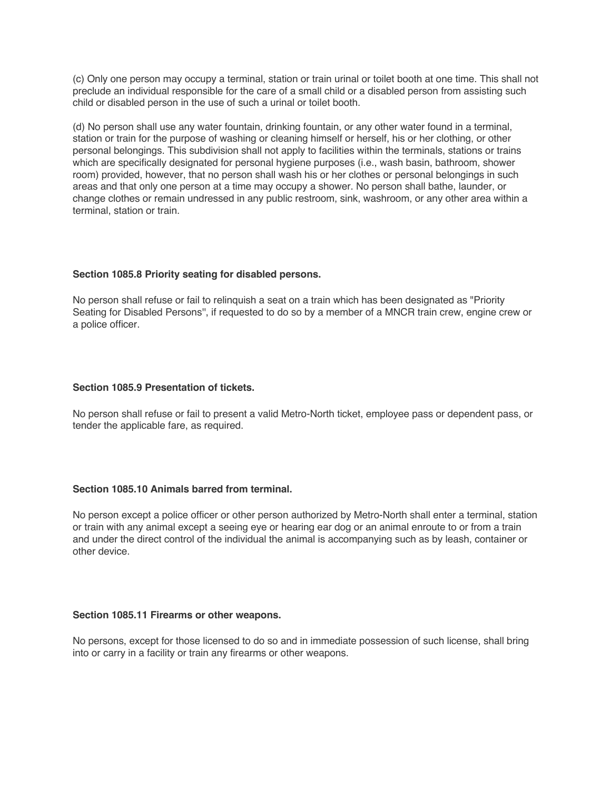(c) Only one person may occupy a terminal, station or train urinal or toilet booth at one time. This shall not preclude an individual responsible for the care of a small child or a disabled person from assisting such child or disabled person in the use of such a urinal or toilet booth.

(d) No person shall use any water fountain, drinking fountain, or any other water found in a terminal, station or train for the purpose of washing or cleaning himself or herself, his or her clothing, or other personal belongings. This subdivision shall not apply to facilities within the terminals, stations or trains which are specifically designated for personal hygiene purposes (i.e., wash basin, bathroom, shower room) provided, however, that no person shall wash his or her clothes or personal belongings in such areas and that only one person at a time may occupy a shower. No person shall bathe, launder, or change clothes or remain undressed in any public restroom, sink, washroom, or any other area within a terminal, station or train.

# **Section 1085.8 Priority seating for disabled persons.**

No person shall refuse or fail to relinquish a seat on a train which has been designated as "Priority Seating for Disabled Persons'', if requested to do so by a member of a MNCR train crew, engine crew or a police officer.

### **Section 1085.9 Presentation of tickets.**

No person shall refuse or fail to present a valid Metro-North ticket, employee pass or dependent pass, or tender the applicable fare, as required.

#### **Section 1085.10 Animals barred from terminal.**

No person except a police officer or other person authorized by Metro-North shall enter a terminal, station or train with any animal except a seeing eye or hearing ear dog or an animal enroute to or from a train and under the direct control of the individual the animal is accompanying such as by leash, container or other device.

#### **Section 1085.11 Firearms or other weapons.**

No persons, except for those licensed to do so and in immediate possession of such license, shall bring into or carry in a facility or train any firearms or other weapons.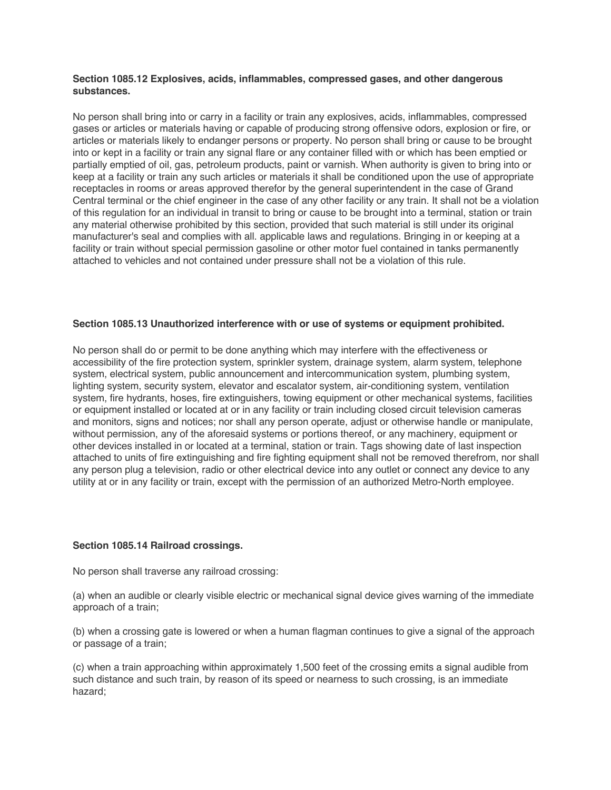# **Section 1085.12 Explosives, acids, inflammables, compressed gases, and other dangerous substances.**

No person shall bring into or carry in a facility or train any explosives, acids, inflammables, compressed gases or articles or materials having or capable of producing strong offensive odors, explosion or fire, or articles or materials likely to endanger persons or property. No person shall bring or cause to be brought into or kept in a facility or train any signal flare or any container filled with or which has been emptied or partially emptied of oil, gas, petroleum products, paint or varnish. When authority is given to bring into or keep at a facility or train any such articles or materials it shall be conditioned upon the use of appropriate receptacles in rooms or areas approved therefor by the general superintendent in the case of Grand Central terminal or the chief engineer in the case of any other facility or any train. It shall not be a violation of this regulation for an individual in transit to bring or cause to be brought into a terminal, station or train any material otherwise prohibited by this section, provided that such material is still under its original manufacturer's seal and complies with all. applicable laws and regulations. Bringing in or keeping at a facility or train without special permission gasoline or other motor fuel contained in tanks permanently attached to vehicles and not contained under pressure shall not be a violation of this rule.

# **Section 1085.13 Unauthorized interference with or use of systems or equipment prohibited.**

No person shall do or permit to be done anything which may interfere with the effectiveness or accessibility of the fire protection system, sprinkler system, drainage system, alarm system, telephone system, electrical system, public announcement and intercommunication system, plumbing system, lighting system, security system, elevator and escalator system, air-conditioning system, ventilation system, fire hydrants, hoses, fire extinguishers, towing equipment or other mechanical systems, facilities or equipment installed or located at or in any facility or train including closed circuit television cameras and monitors, signs and notices; nor shall any person operate, adjust or otherwise handle or manipulate, without permission, any of the aforesaid systems or portions thereof, or any machinery, equipment or other devices installed in or located at a terminal, station or train. Tags showing date of last inspection attached to units of fire extinguishing and fire fighting equipment shall not be removed therefrom, nor shall any person plug a television, radio or other electrical device into any outlet or connect any device to any utility at or in any facility or train, except with the permission of an authorized Metro-North employee.

### **Section 1085.14 Railroad crossings.**

No person shall traverse any railroad crossing:

(a) when an audible or clearly visible electric or mechanical signal device gives warning of the immediate approach of a train;

(b) when a crossing gate is lowered or when a human flagman continues to give a signal of the approach or passage of a train;

(c) when a train approaching within approximately 1,500 feet of the crossing emits a signal audible from such distance and such train, by reason of its speed or nearness to such crossing, is an immediate hazard;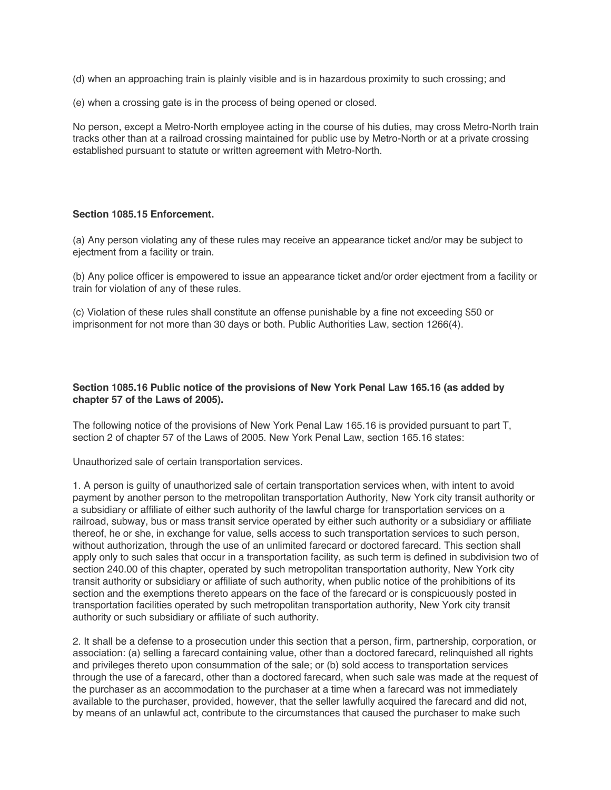(d) when an approaching train is plainly visible and is in hazardous proximity to such crossing; and

(e) when a crossing gate is in the process of being opened or closed.

No person, except a Metro-North employee acting in the course of his duties, may cross Metro-North train tracks other than at a railroad crossing maintained for public use by Metro-North or at a private crossing established pursuant to statute or written agreement with Metro-North.

# **Section 1085.15 Enforcement.**

(a) Any person violating any of these rules may receive an appearance ticket and/or may be subject to ejectment from a facility or train.

(b) Any police officer is empowered to issue an appearance ticket and/or order ejectment from a facility or train for violation of any of these rules.

(c) Violation of these rules shall constitute an offense punishable by a fine not exceeding \$50 or imprisonment for not more than 30 days or both. Public Authorities Law, section 1266(4).

# **Section 1085.16 Public notice of the provisions of New York Penal Law 165.16 (as added by chapter 57 of the Laws of 2005).**

The following notice of the provisions of New York Penal Law 165.16 is provided pursuant to part T, section 2 of chapter 57 of the Laws of 2005. New York Penal Law, section 165.16 states:

Unauthorized sale of certain transportation services.

1. A person is guilty of unauthorized sale of certain transportation services when, with intent to avoid payment by another person to the metropolitan transportation Authority, New York city transit authority or a subsidiary or affiliate of either such authority of the lawful charge for transportation services on a railroad, subway, bus or mass transit service operated by either such authority or a subsidiary or affiliate thereof, he or she, in exchange for value, sells access to such transportation services to such person, without authorization, through the use of an unlimited farecard or doctored farecard. This section shall apply only to such sales that occur in a transportation facility, as such term is defined in subdivision two of section 240.00 of this chapter, operated by such metropolitan transportation authority, New York city transit authority or subsidiary or affiliate of such authority, when public notice of the prohibitions of its section and the exemptions thereto appears on the face of the farecard or is conspicuously posted in transportation facilities operated by such metropolitan transportation authority, New York city transit authority or such subsidiary or affiliate of such authority.

2. It shall be a defense to a prosecution under this section that a person, firm, partnership, corporation, or association: (a) selling a farecard containing value, other than a doctored farecard, relinquished all rights and privileges thereto upon consummation of the sale; or (b) sold access to transportation services through the use of a farecard, other than a doctored farecard, when such sale was made at the request of the purchaser as an accommodation to the purchaser at a time when a farecard was not immediately available to the purchaser, provided, however, that the seller lawfully acquired the farecard and did not, by means of an unlawful act, contribute to the circumstances that caused the purchaser to make such